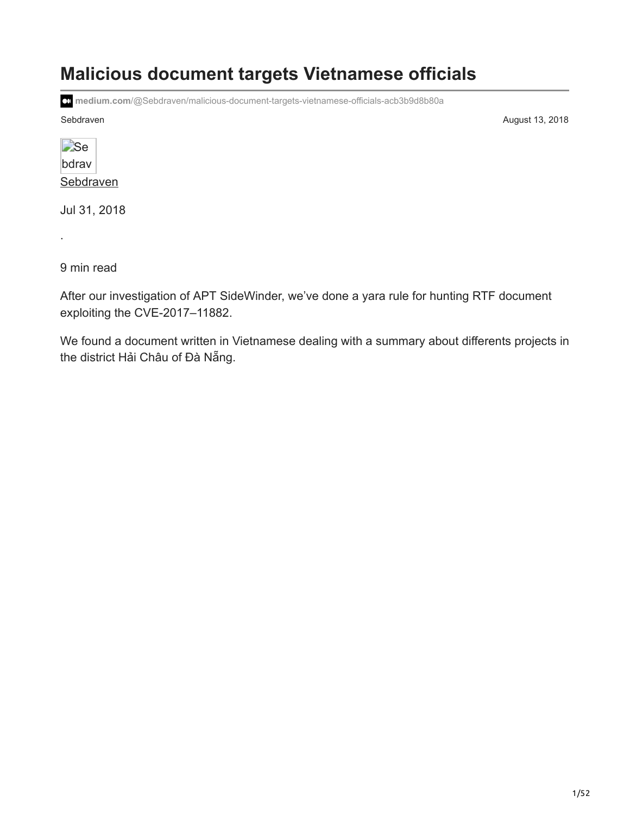# **Malicious document targets Vietnamese officials**

**medium.com**[/@Sebdraven/malicious-document-targets-vietnamese-officials-acb3b9d8b80a](https://medium.com/@Sebdraven/malicious-document-targets-vietnamese-officials-acb3b9d8b80a?)

# **[Sebdraven](https://medium.com/?source=post_page-----acb3b9d8b80a--------------------------------)**

Jul 31, 2018

9 min read

·

After our investigation of APT SideWinder, we've done a yara rule for hunting RTF document exploiting the CVE-2017–11882.

We found a document written in Vietnamese dealing with a summary about differents projects in the district Hải Châu of Đà Nẵng.

 $\Box$ Se [bdrav](https://medium.com/?source=post_page-----acb3b9d8b80a--------------------------------)

Sebdraven August 13, 2018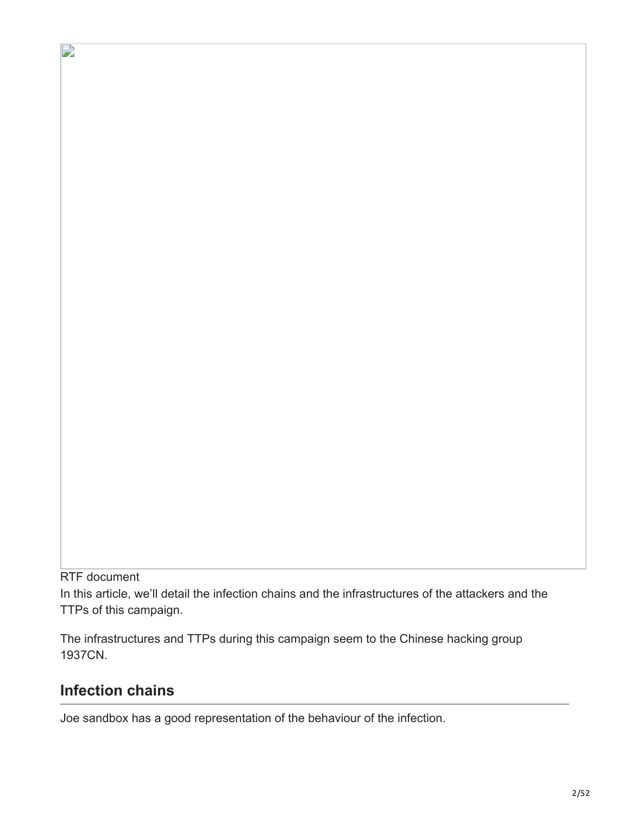RTF document

D

In this article, we'll detail the infection chains and the infrastructures of the attackers and the TTPs of this campaign.

The infrastructures and TTPs during this campaign seem to the Chinese hacking group 1937CN.

#### **Infection chains**

Joe sandbox has a good representation of the behaviour of the infection.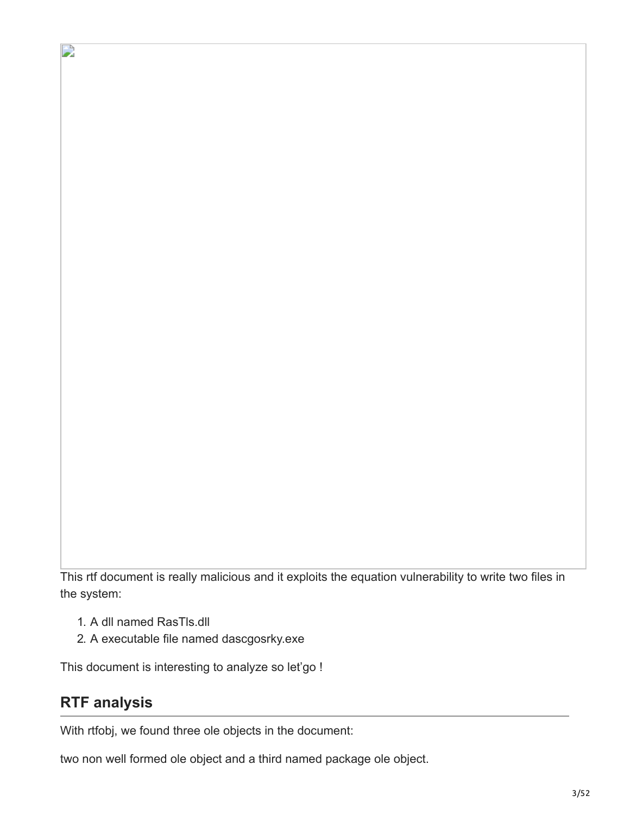This rtf document is really malicious and it exploits the equation vulnerability to write two files in the system:

- 1. A dll named RasTls.dll
- 2. A executable file named dascgosrky.exe

This document is interesting to analyze so let'go !

#### **RTF analysis**

D

With rtfobj, we found three ole objects in the document:

two non well formed ole object and a third named package ole object.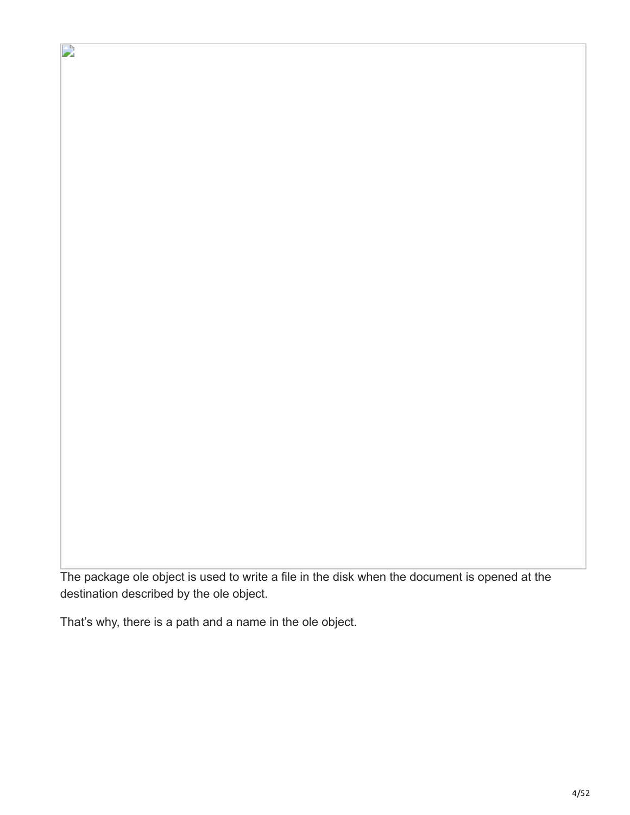The package ole object is used to write a file in the disk when the document is opened at the destination described by the ole object.

That's why, there is a path and a name in the ole object.

 $\overrightarrow{r}$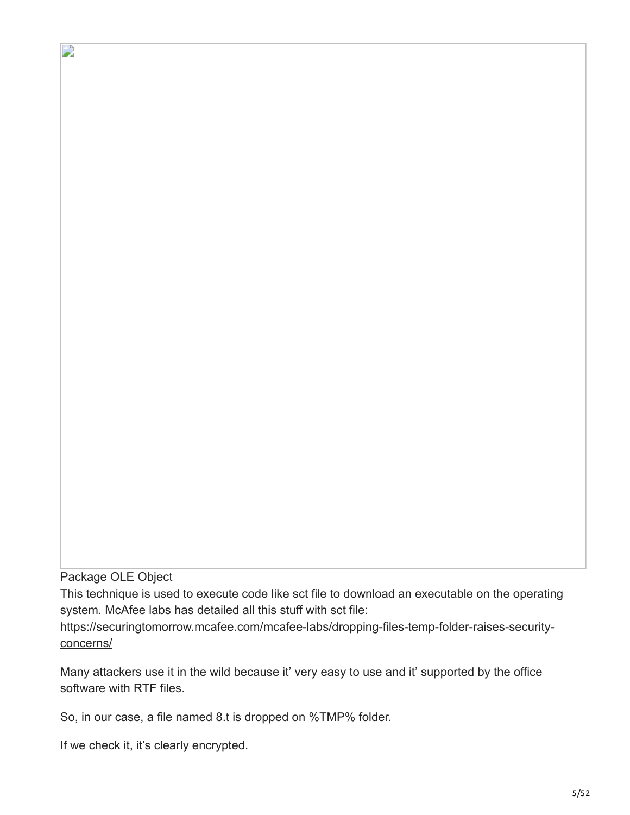Package OLE Object

D

This technique is used to execute code like sct file to download an executable on the operating system. McAfee labs has detailed all this stuff with sct file:

[https://securingtomorrow.mcafee.com/mcafee-labs/dropping-files-temp-folder-raises-security](https://securingtomorrow.mcafee.com/mcafee-labs/dropping-files-temp-folder-raises-security-concerns/)concerns/

Many attackers use it in the wild because it' very easy to use and it' supported by the office software with RTF files.

So, in our case, a file named 8.t is dropped on %TMP% folder.

If we check it, it's clearly encrypted.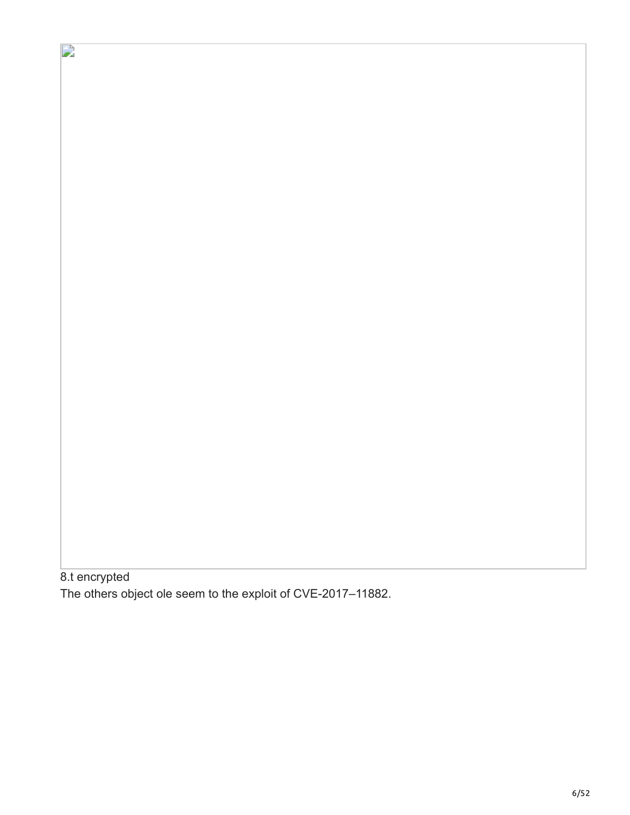8.t encrypted The others object ole seem to the exploit of CVE-2017–11882.

 $\mathbf{L}$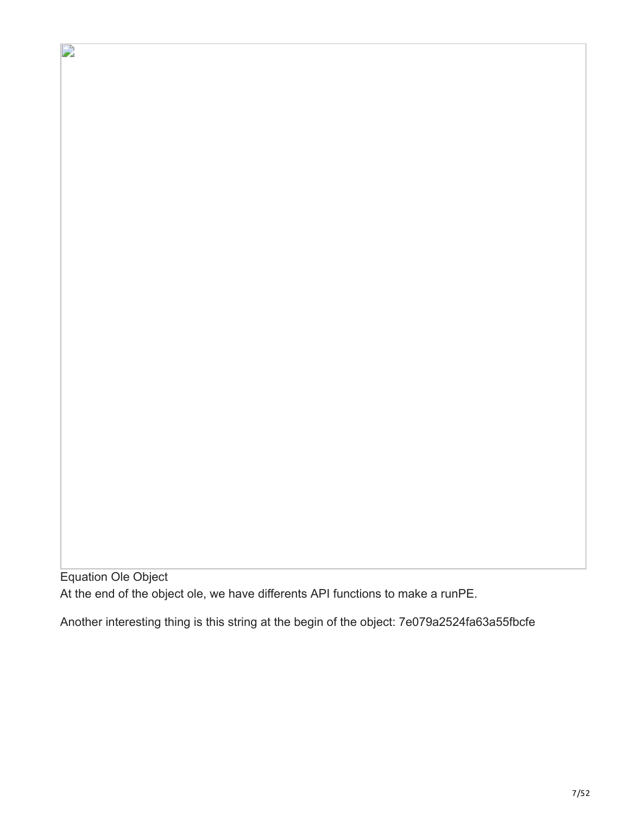Equation Ole Object At the end of the object ole, we have differents API functions to make a runPE.

 $\mathbf{r}$ 

Another interesting thing is this string at the begin of the object: 7e079a2524fa63a55fbcfe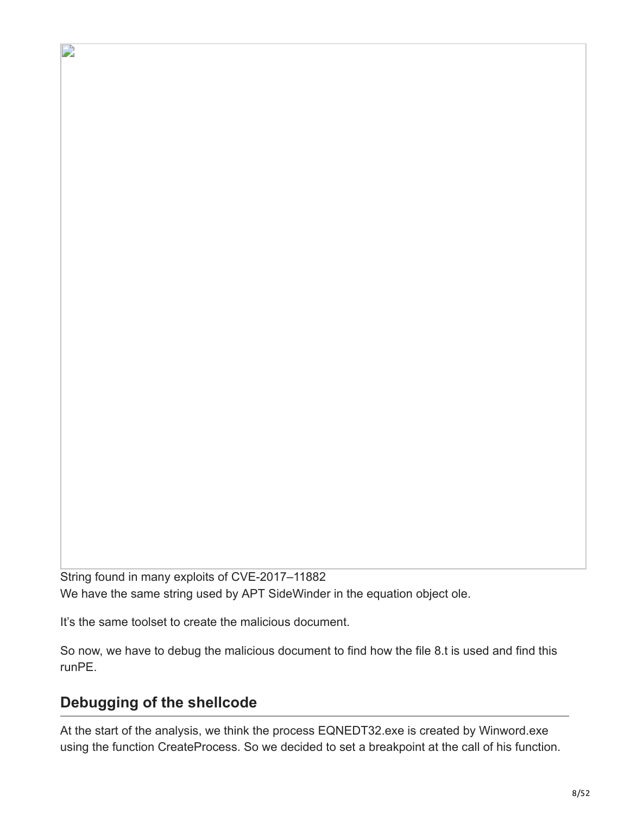String found in many exploits of CVE-2017–11882 We have the same string used by APT SideWinder in the equation object ole.

It's the same toolset to create the malicious document.

So now, we have to debug the malicious document to find how the file 8.t is used and find this runPE.

## **Debugging of the shellcode**

D

At the start of the analysis, we think the process EQNEDT32.exe is created by Winword.exe using the function CreateProcess. So we decided to set a breakpoint at the call of his function.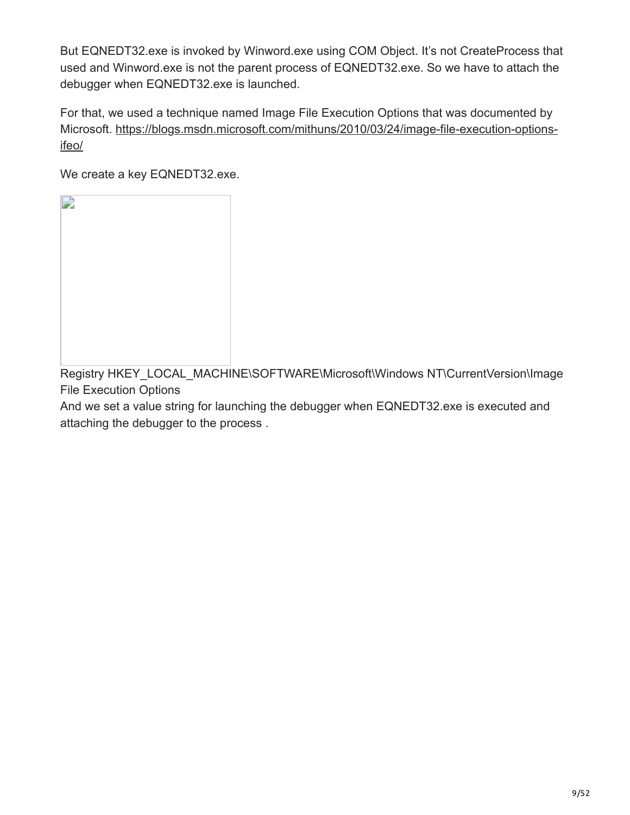But EQNEDT32.exe is invoked by Winword.exe using COM Object. It's not CreateProcess that used and Winword.exe is not the parent process of EQNEDT32.exe. So we have to attach the debugger when EQNEDT32.exe is launched.

For that, we used a technique named Image File Execution Options that was documented by [Microsoft. https://blogs.msdn.microsoft.com/mithuns/2010/03/24/image-file-execution-options](https://blogs.msdn.microsoft.com/mithuns/2010/03/24/image-file-execution-options-ifeo/)ifeo/

We create a key EQNEDT32.exe.



Registry HKEY\_LOCAL\_MACHINE\SOFTWARE\Microsoft\Windows NT\CurrentVersion\Image File Execution Options

And we set a value string for launching the debugger when EQNEDT32.exe is executed and attaching the debugger to the process .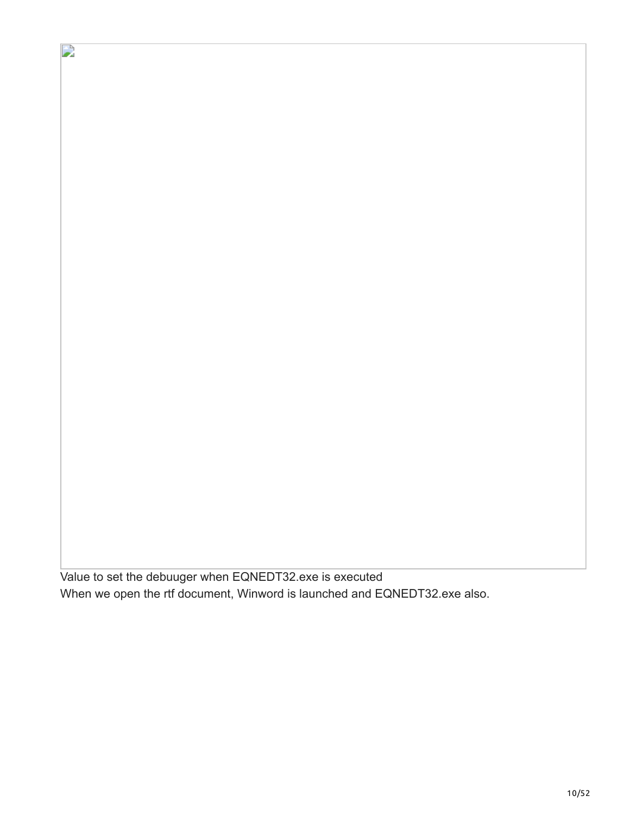Value to set the debuuger when EQNEDT32.exe is executed When we open the rtf document, Winword is launched and EQNEDT32.exe also.

 $\mathbf{L}$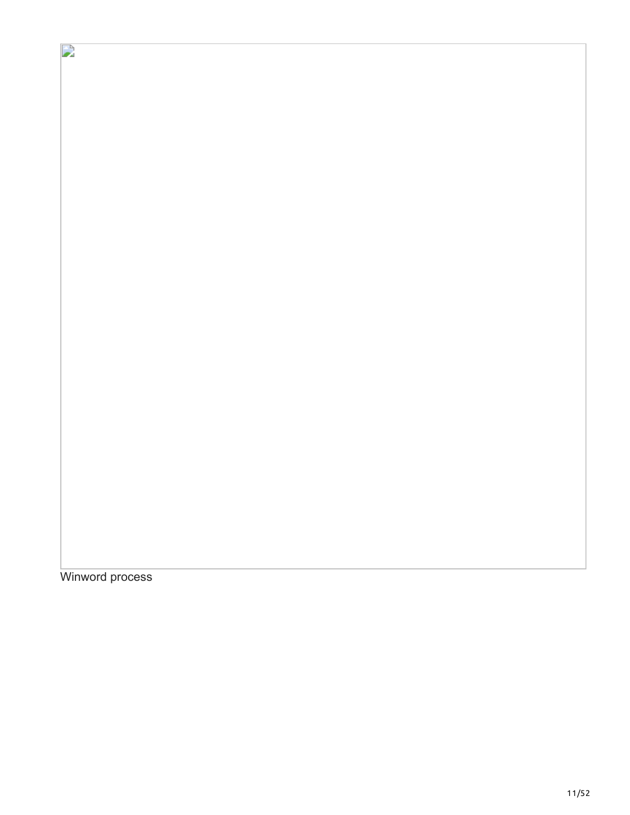Winword process

 $\mathbf{r}$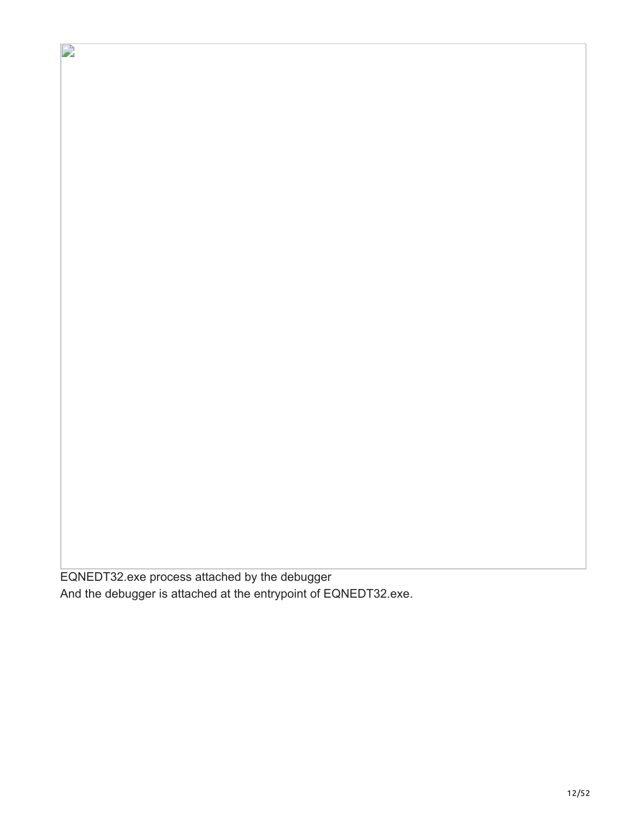EQNEDT32.exe process attached by the debugger And the debugger is attached at the entrypoint of EQNEDT32.exe.

 $\overrightarrow{ }$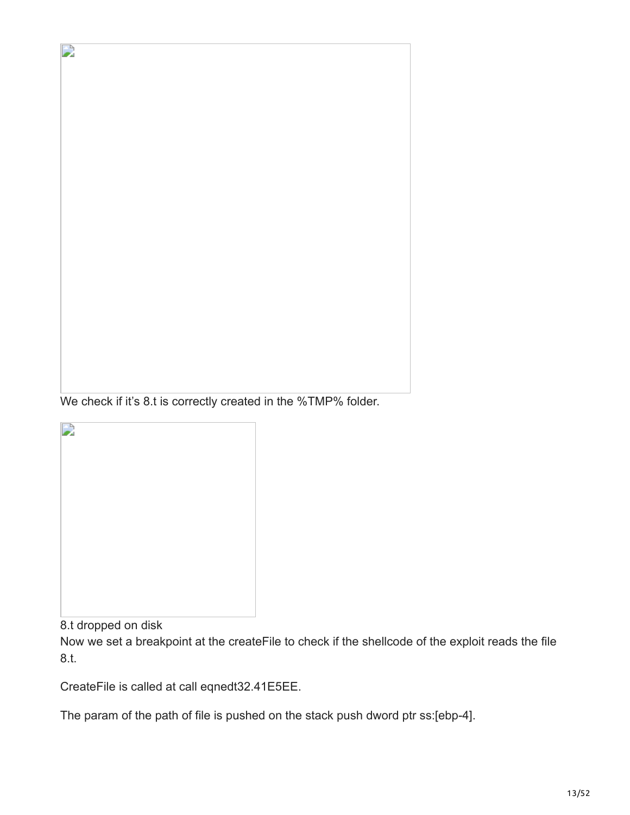We check if it's 8.t is correctly created in the %TMP% folder.

 $\overline{\phantom{a}}$ 

8.t dropped on disk

D

Now we set a breakpoint at the createFile to check if the shellcode of the exploit reads the file 8.t.

CreateFile is called at call eqnedt32.41E5EE.

The param of the path of file is pushed on the stack push dword ptr ss:[ebp-4].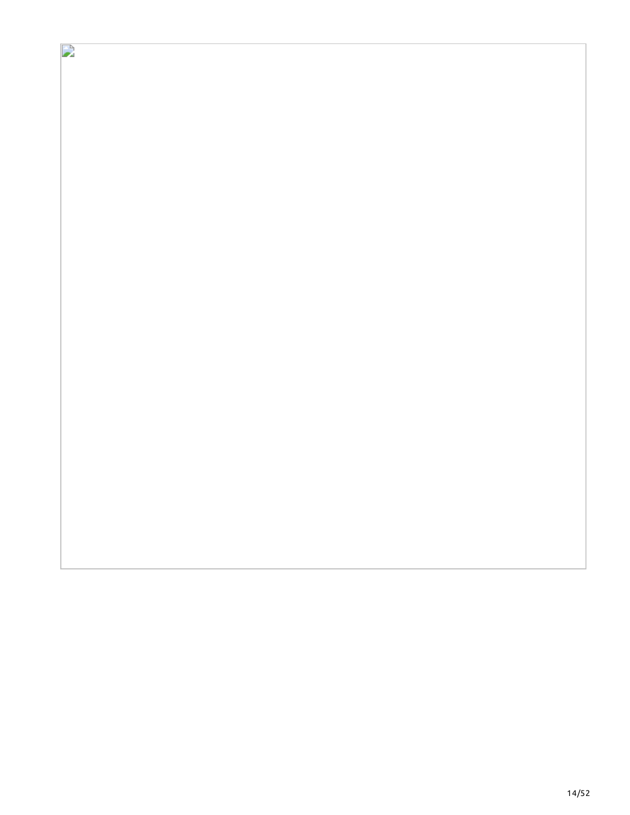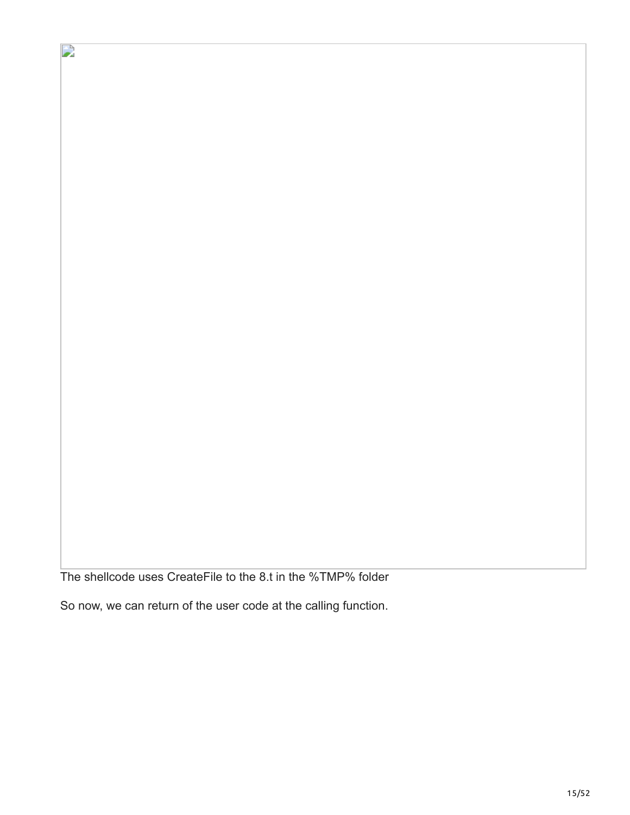The shellcode uses CreateFile to the 8.t in the %TMP% folder

 $\overrightarrow{ }$ 

So now, we can return of the user code at the calling function.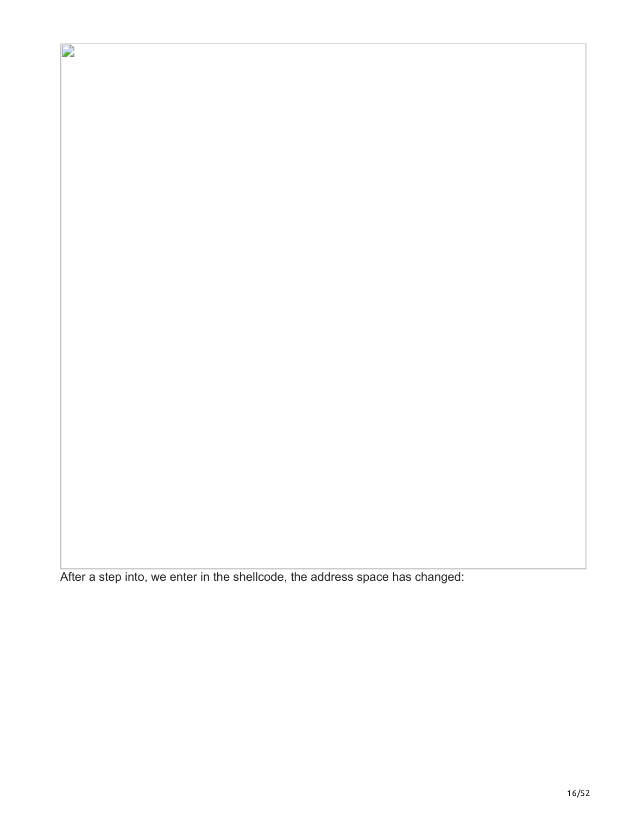After a step into, we enter in the shellcode, the address space has changed:

 $\overline{a}$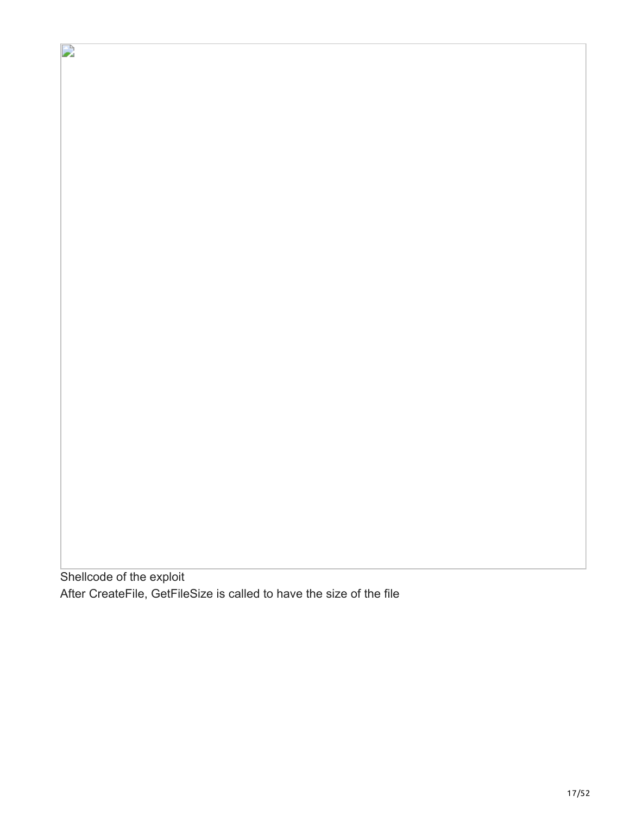Shellcode of the exploit After CreateFile, GetFileSize is called to have the size of the file

 $\overrightarrow{ }$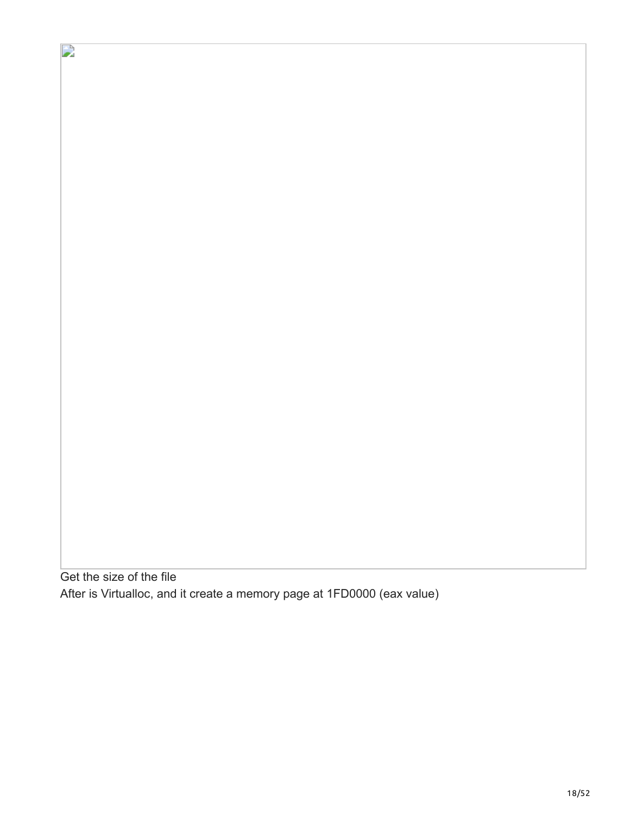Get the size of the file After is Virtualloc, and it create a memory page at 1FD0000 (eax value)

 $\overrightarrow{ }$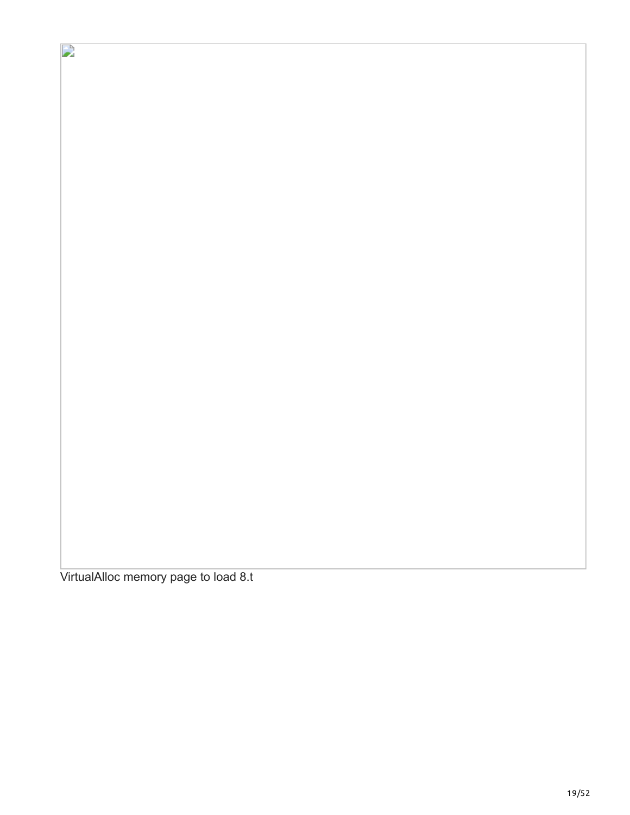VirtualAlloc memory page to load 8.t

 $\mathbf{L}$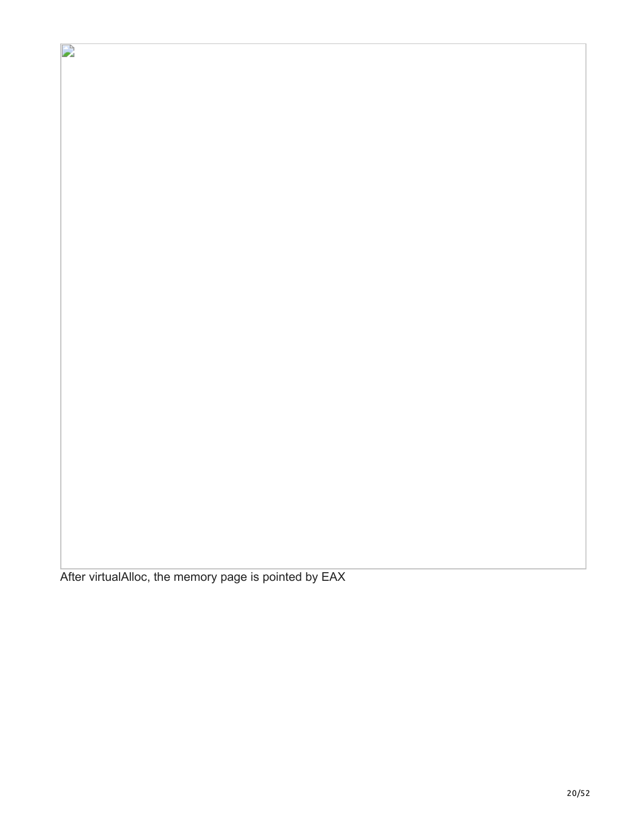After virtualAlloc, the memory page is pointed by EAX

 $\mathbf{L}$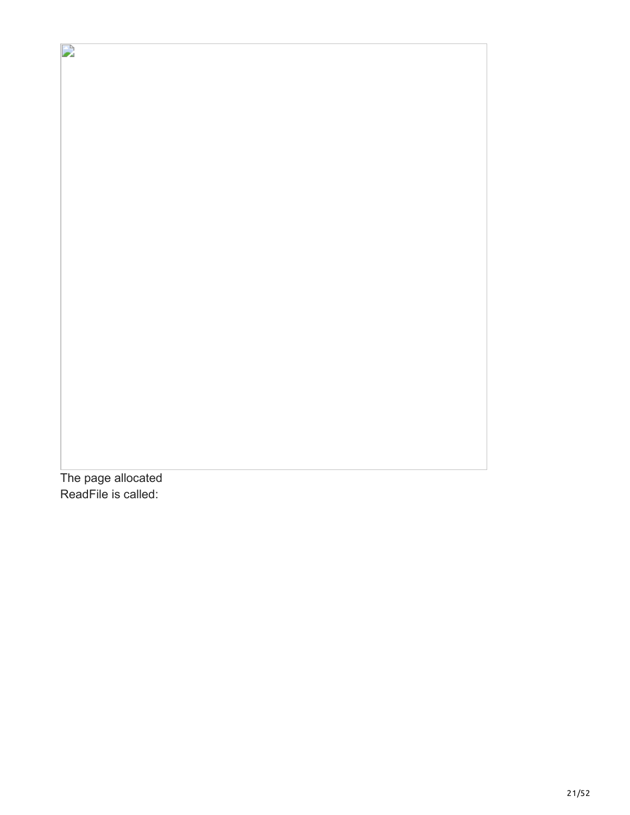The page allocated ReadFile is called:

 $\mathbf{r}$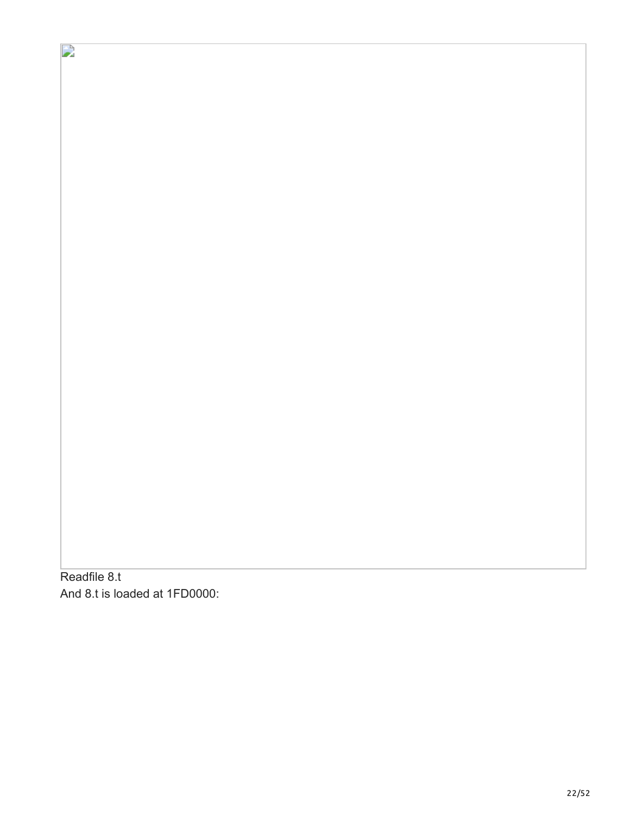Readfile 8.t And 8.t is loaded at 1FD0000:

 $\overrightarrow{a}$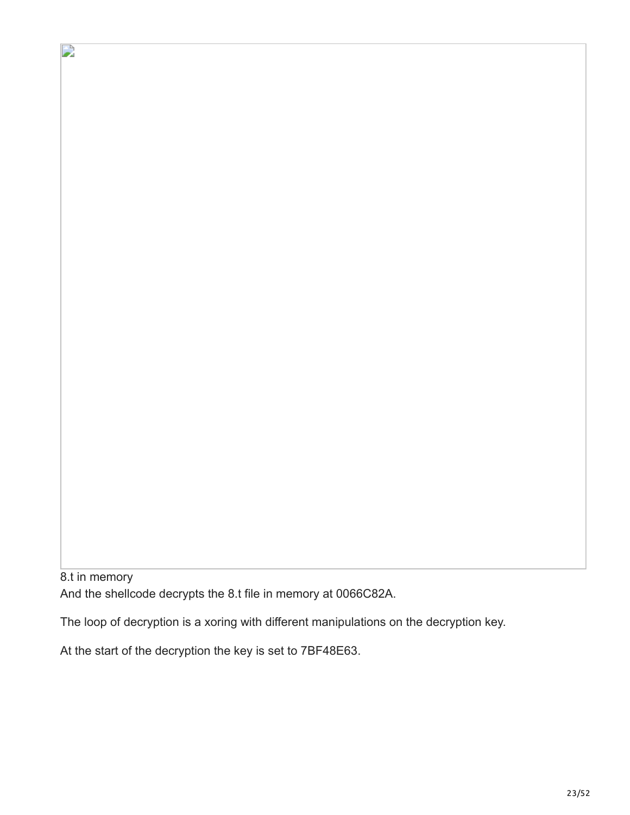8.t in memory

 $\mathbf{r}$ 

And the shellcode decrypts the 8.t file in memory at 0066C82A.

The loop of decryption is a xoring with different manipulations on the decryption key.

At the start of the decryption the key is set to 7BF48E63.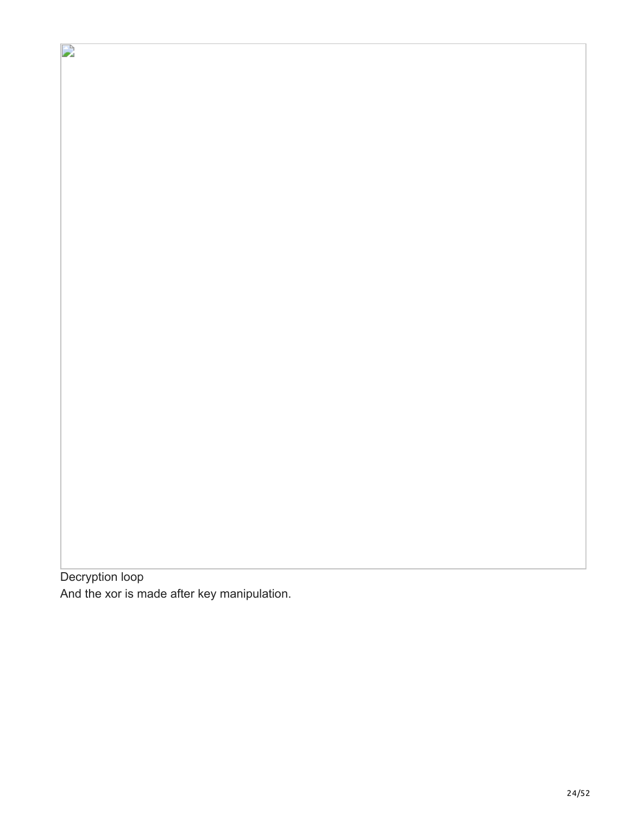Decryption loop And the xor is made after key manipulation.

 $\overline{a}$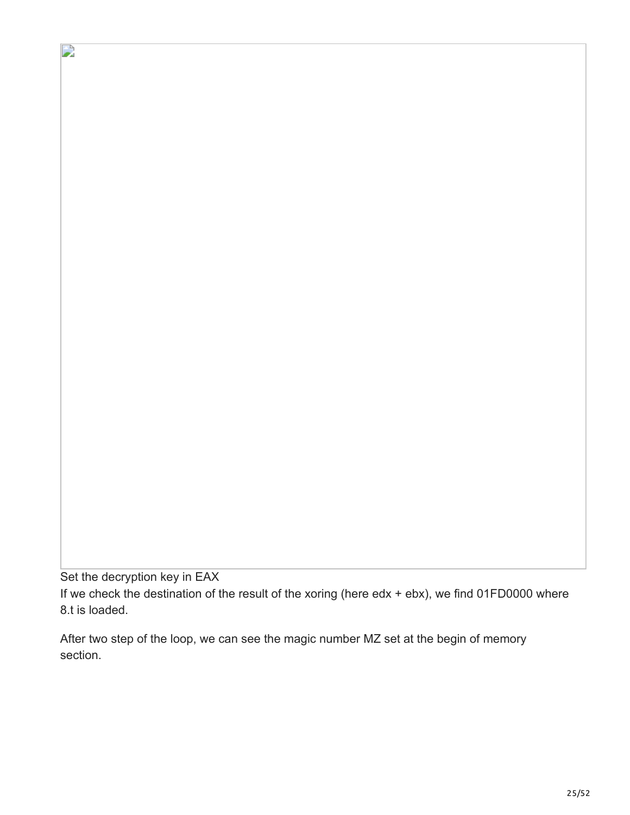Set the decryption key in EAX

 $\mathbf{L}$ 

If we check the destination of the result of the xoring (here edx + ebx), we find 01FD0000 where 8.t is loaded.

After two step of the loop, we can see the magic number MZ set at the begin of memory section.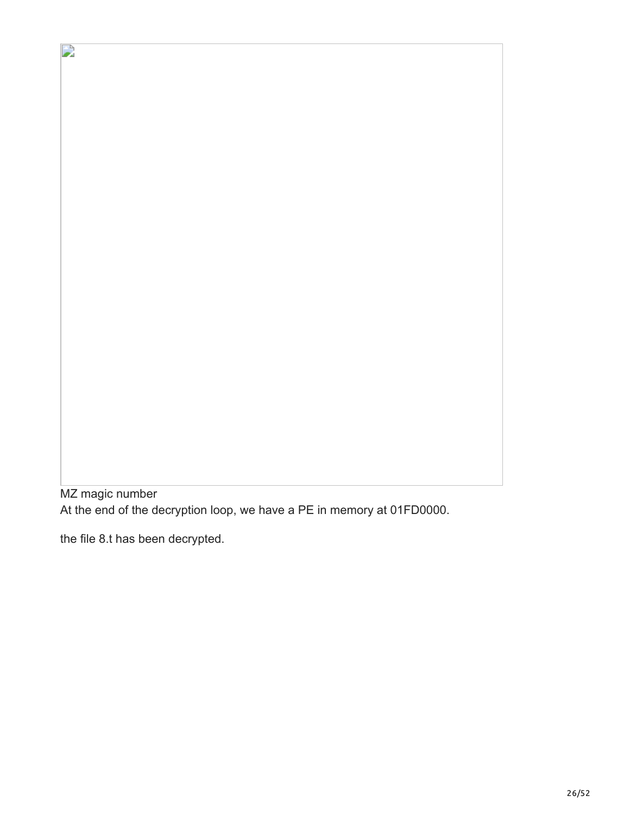MZ magic number At the end of the decryption loop, we have a PE in memory at 01FD0000.

the file 8.t has been decrypted.

 $\overrightarrow{a}$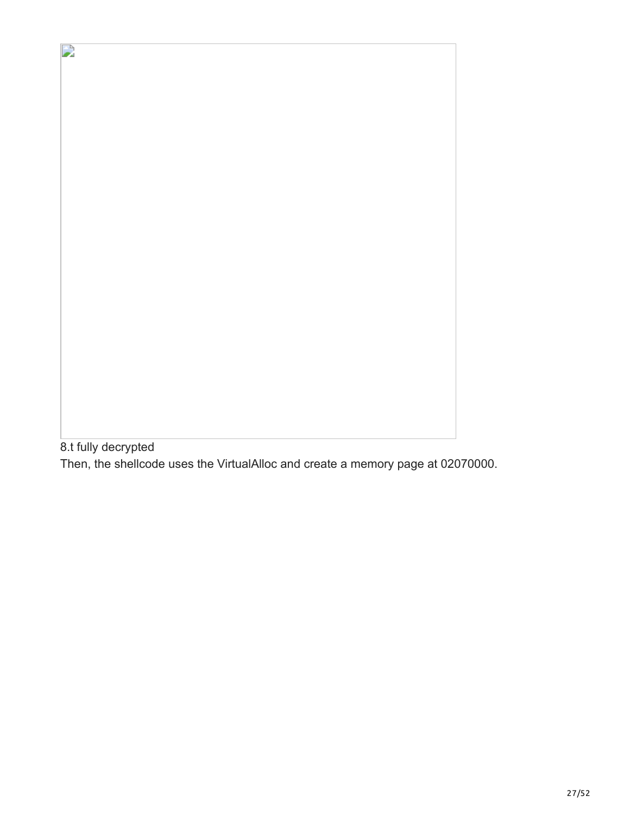8.t fully decrypted

 $\mathbf{r}$ 

Then, the shellcode uses the VirtualAlloc and create a memory page at 02070000.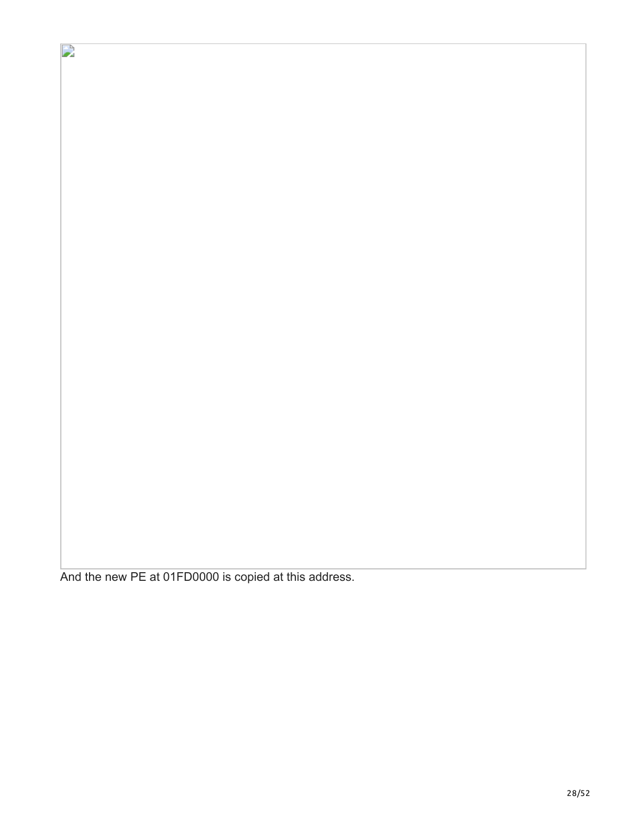And the new PE at 01FD0000 is copied at this address.

 $\mathbf{L}$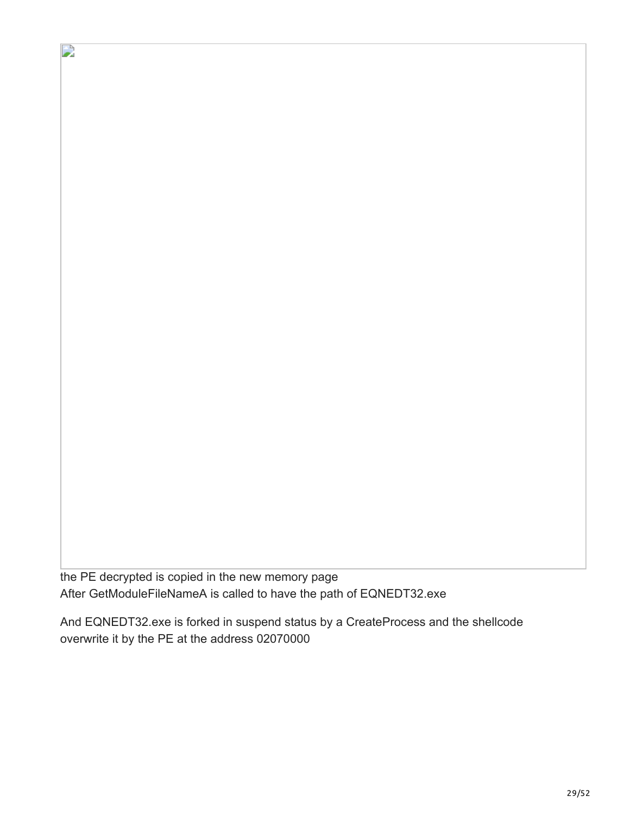the PE decrypted is copied in the new memory page After GetModuleFileNameA is called to have the path of EQNEDT32.exe

D

And EQNEDT32.exe is forked in suspend status by a CreateProcess and the shellcode overwrite it by the PE at the address 02070000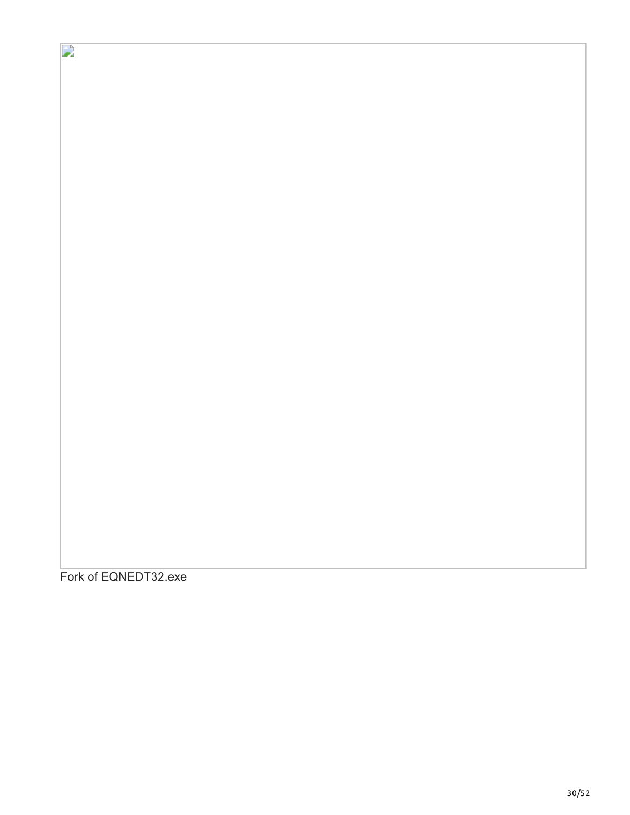Fork of EQNEDT32.exe

 $\overline{\phantom{a}}$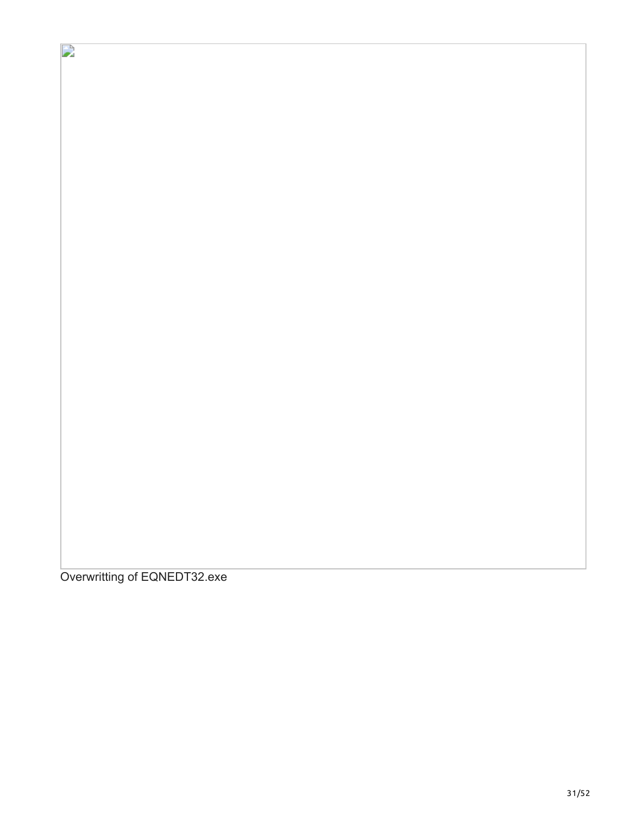Overwritting of EQNEDT32.exe

 $\overline{a}$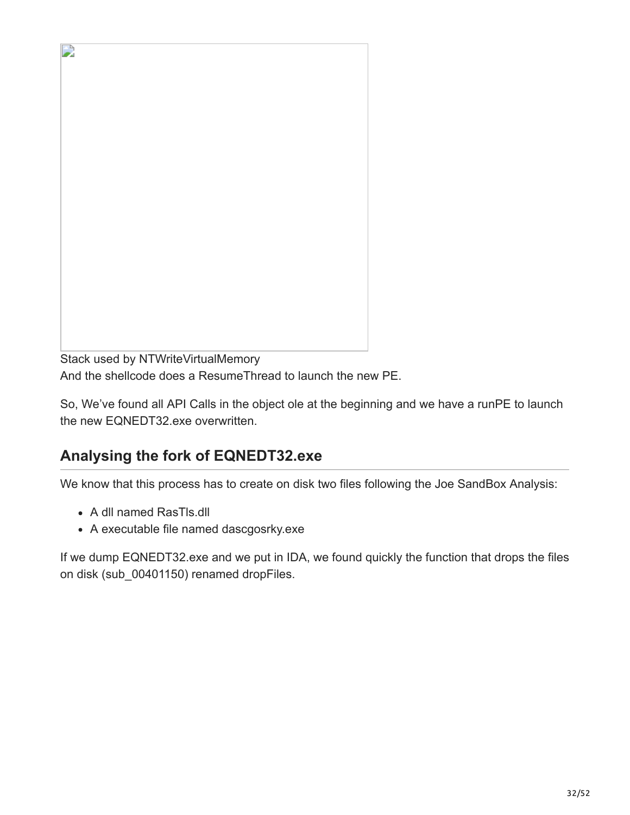

Stack used by NTWriteVirtualMemory And the shellcode does a ResumeThread to launch the new PE.

So, We've found all API Calls in the object ole at the beginning and we have a runPE to launch the new EQNEDT32.exe overwritten.

# **Analysing the fork of EQNEDT32.exe**

We know that this process has to create on disk two files following the Joe SandBox Analysis:

- A dll named RasTls.dll
- A executable file named dascgosrky.exe

If we dump EQNEDT32.exe and we put in IDA, we found quickly the function that drops the files on disk (sub\_00401150) renamed dropFiles.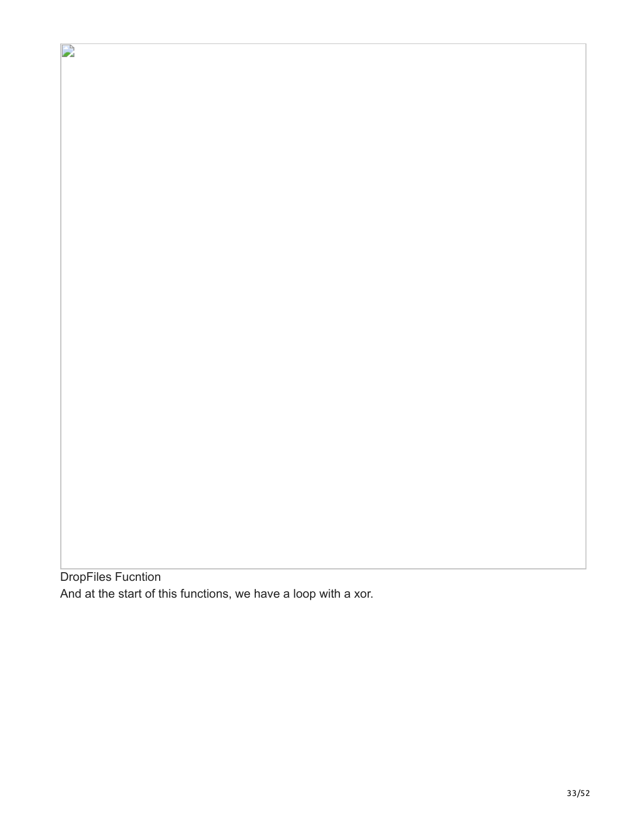DropFiles Fucntion And at the start of this functions, we have a loop with a xor.

 $\overline{a}$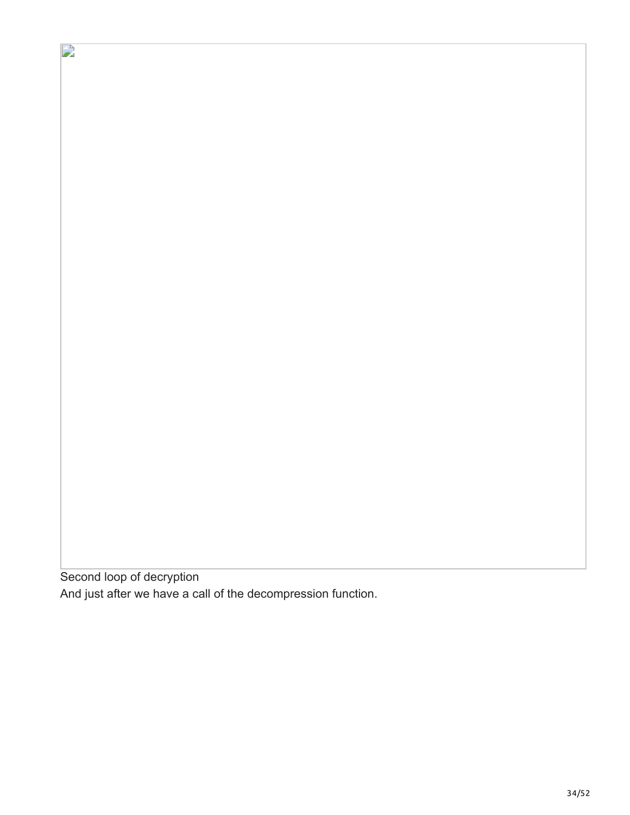Second loop of decryption And just after we have a call of the decompression function.

 $\overline{a}$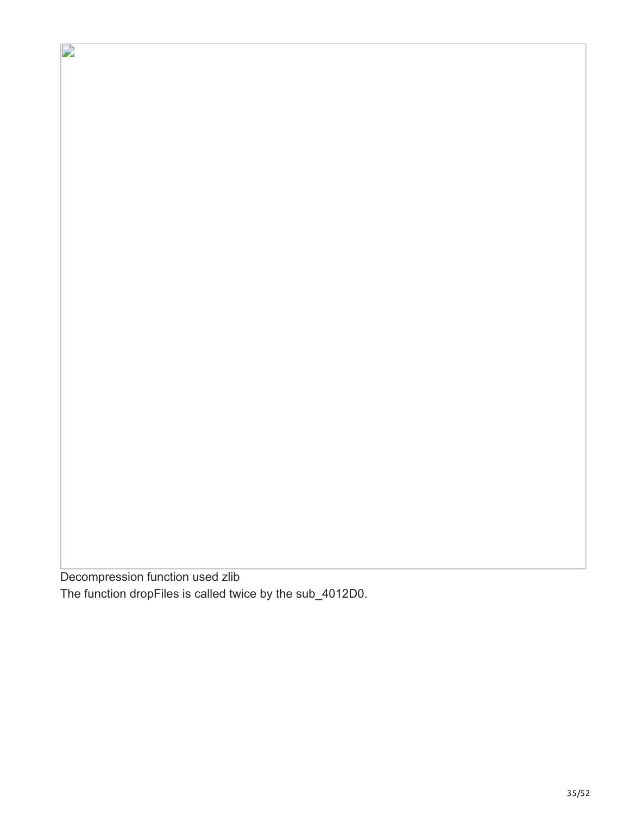Decompression function used zlib The function dropFiles is called twice by the sub\_4012D0.

 $\mathbf{L}$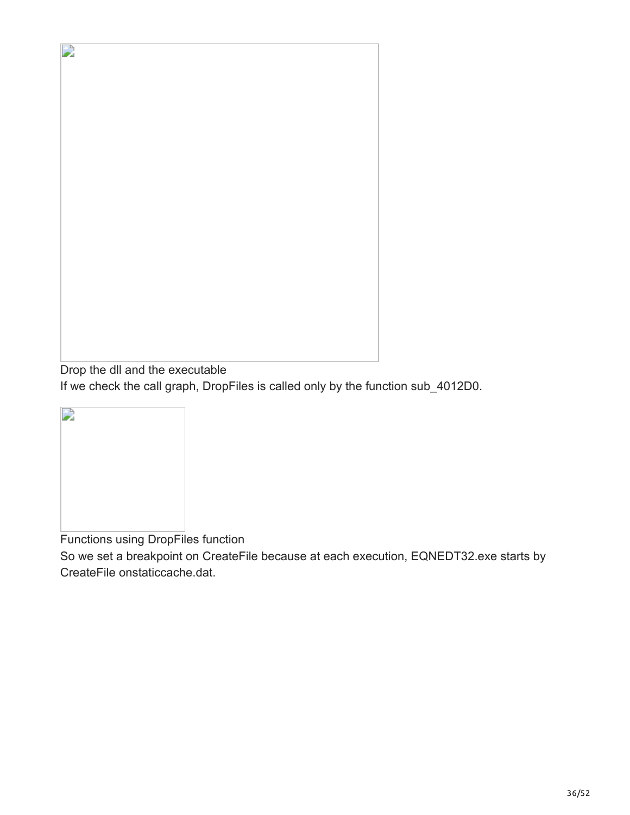Drop the dll and the executable

If we check the call graph, DropFiles is called only by the function sub\_4012D0.



D

Functions using DropFiles function

So we set a breakpoint on CreateFile because at each execution, EQNEDT32.exe starts by CreateFile onstaticcache.dat.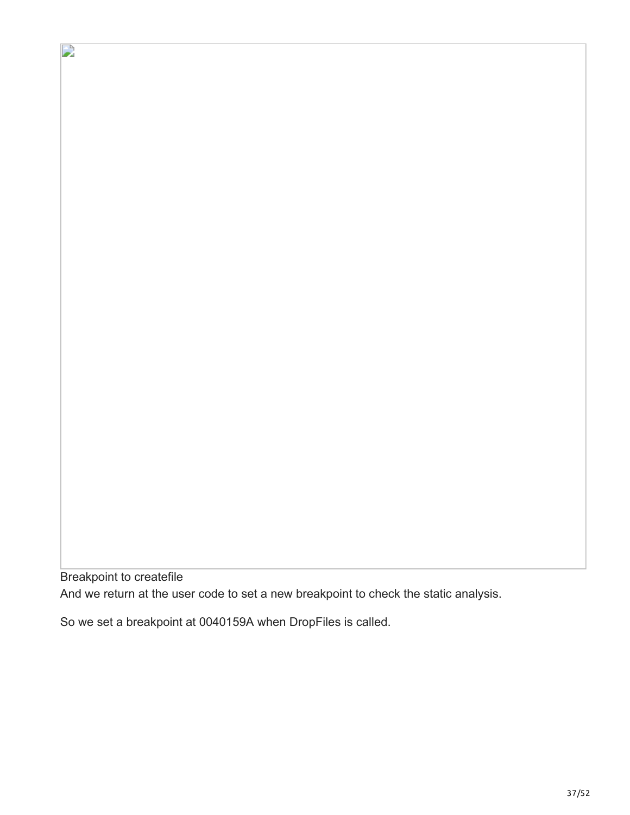Breakpoint to createfile And we return at the user code to set a new breakpoint to check the static analysis.

So we set a breakpoint at 0040159A when DropFiles is called.

 $\mathbf{r}$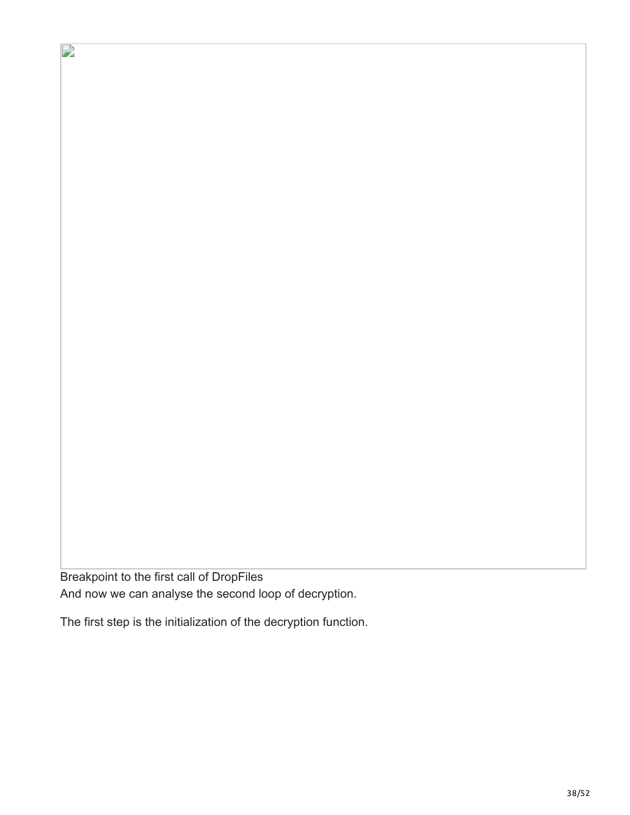Breakpoint to the first call of DropFiles And now we can analyse the second loop of decryption.

 $\overrightarrow{a}$ 

The first step is the initialization of the decryption function.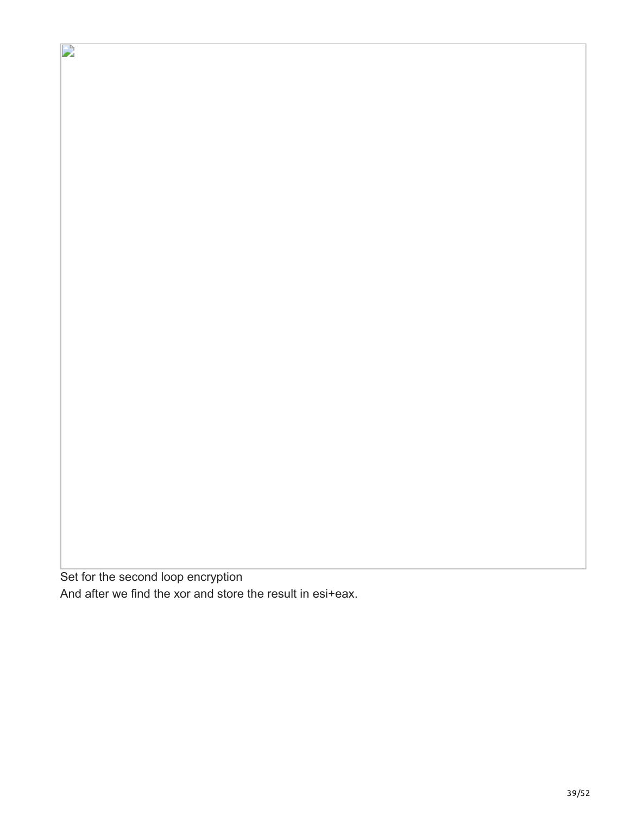Set for the second loop encryption And after we find the xor and store the result in esi+eax.

 $\overrightarrow{ }$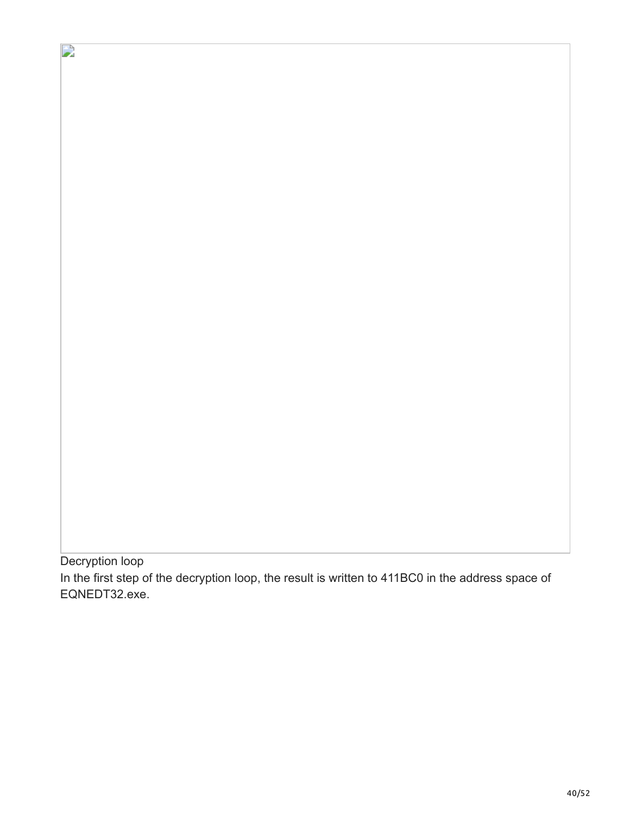Decryption loop

 $\overrightarrow{a}$ 

In the first step of the decryption loop, the result is written to 411BC0 in the address space of EQNEDT32.exe.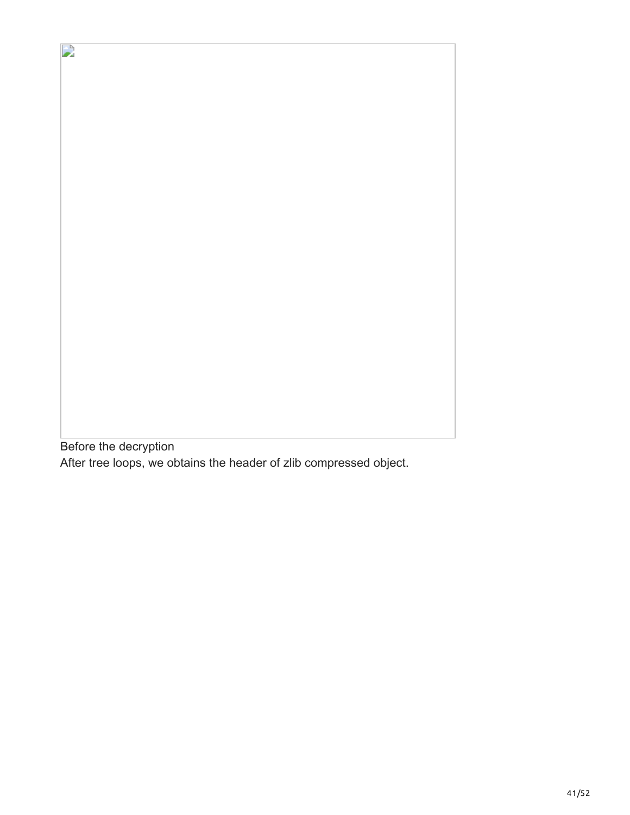Before the decryption After tree loops, we obtains the header of zlib compressed object.

 $\overline{a}$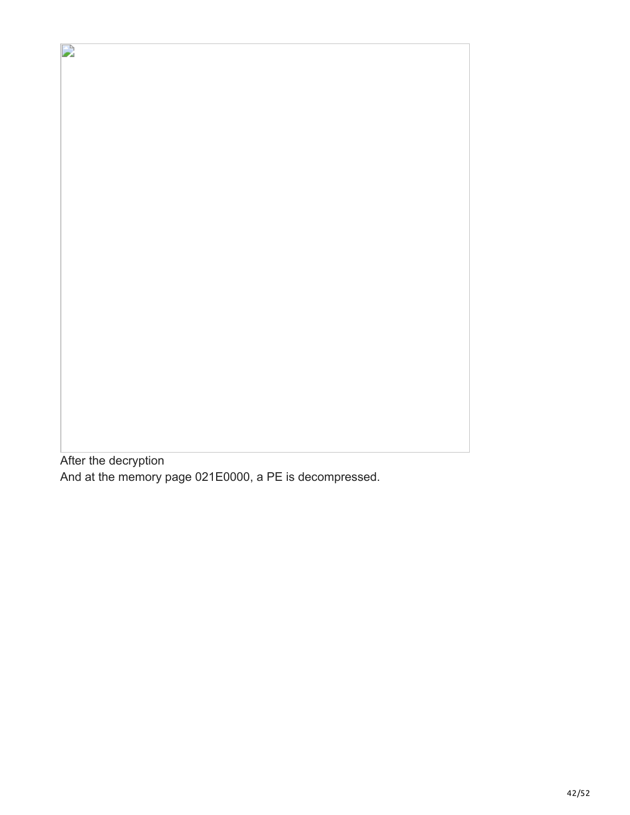After the decryption And at the memory page 021E0000, a PE is decompressed.

 $\mathbf{L}$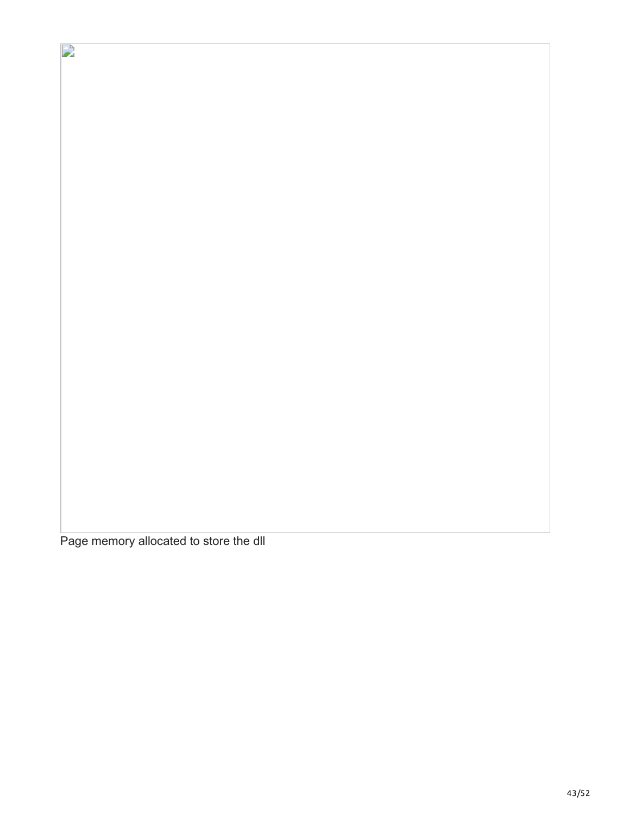Page memory allocated to store the dll

 $\mathbf{r}$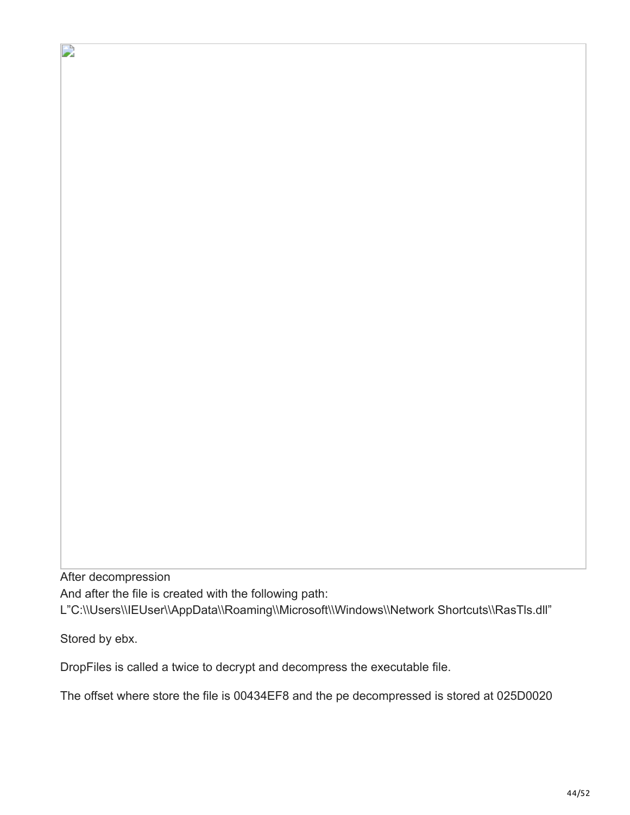After decompression And after the file is created with the following path: L"C:\\Users\\IEUser\\AppData\\Roaming\\Microsoft\\Windows\\Network Shortcuts\\RasTls.dll"

Stored by ebx.

D

DropFiles is called a twice to decrypt and decompress the executable file.

The offset where store the file is 00434EF8 and the pe decompressed is stored at 025D0020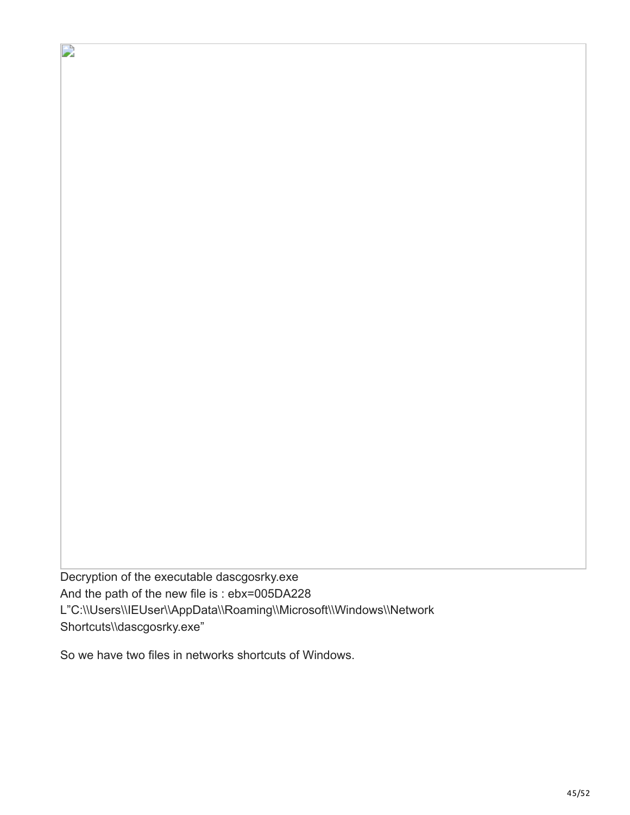Decryption of the executable dascgosrky.exe And the path of the new file is : ebx=005DA228 L"C:\\Users\\IEUser\\AppData\\Roaming\\Microsoft\\Windows\\Network Shortcuts\\dascgosrky.exe"

So we have two files in networks shortcuts of Windows.

D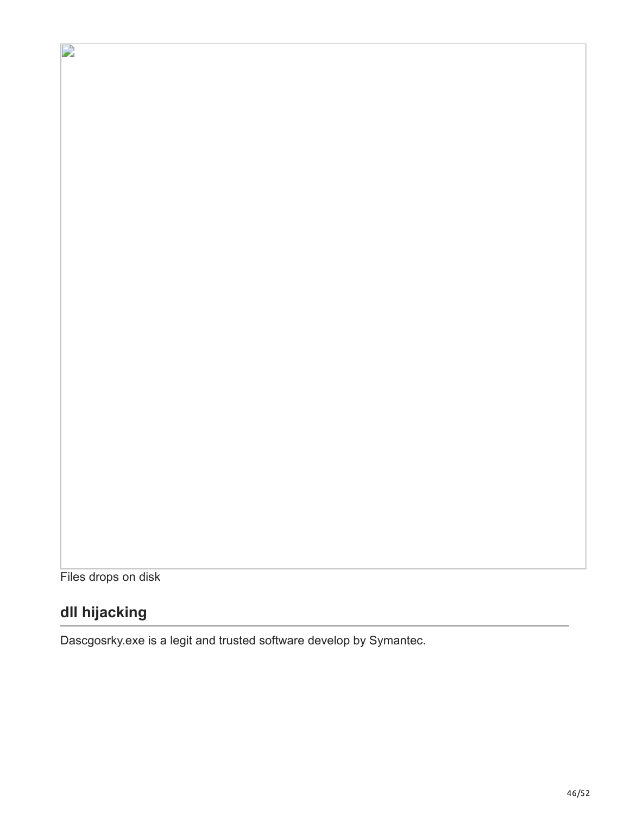Files drops on disk

# **dll hijacking**

 $\overline{\phantom{a}}$ 

Dascgosrky.exe is a legit and trusted software develop by Symantec.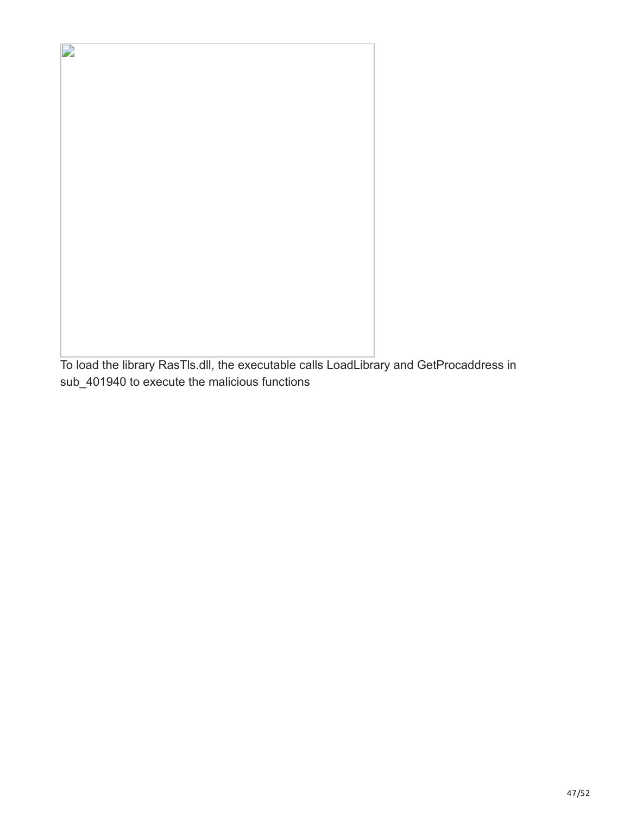To load the library RasTls.dll, the executable calls LoadLibrary and GetProcaddress in sub\_401940 to execute the malicious functions

 $\overline{\phantom{a}}$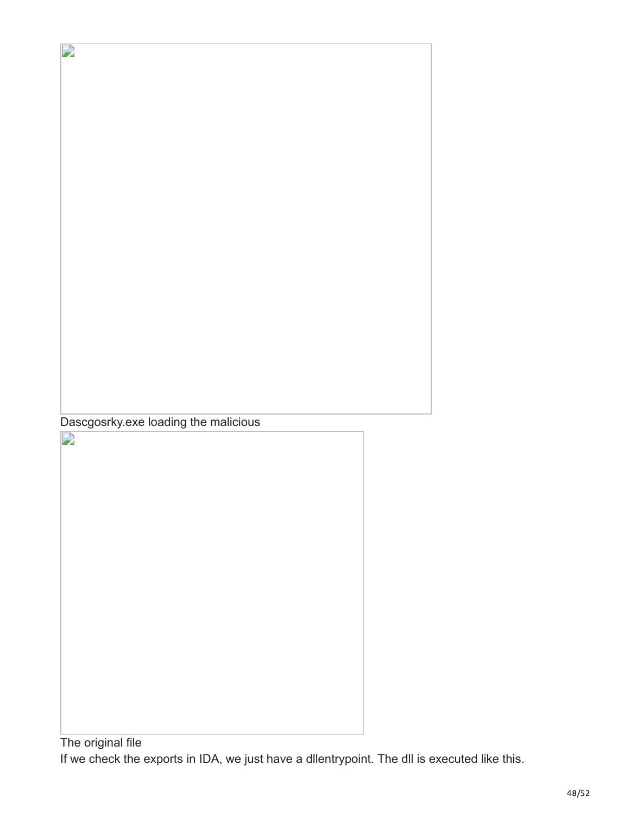Dascgosrky.exe loading the malicious

 $\mathbf{L}$ 

 $\overrightarrow{a}$ 

The original file If we check the exports in IDA, we just have a dllentrypoint. The dll is executed like this.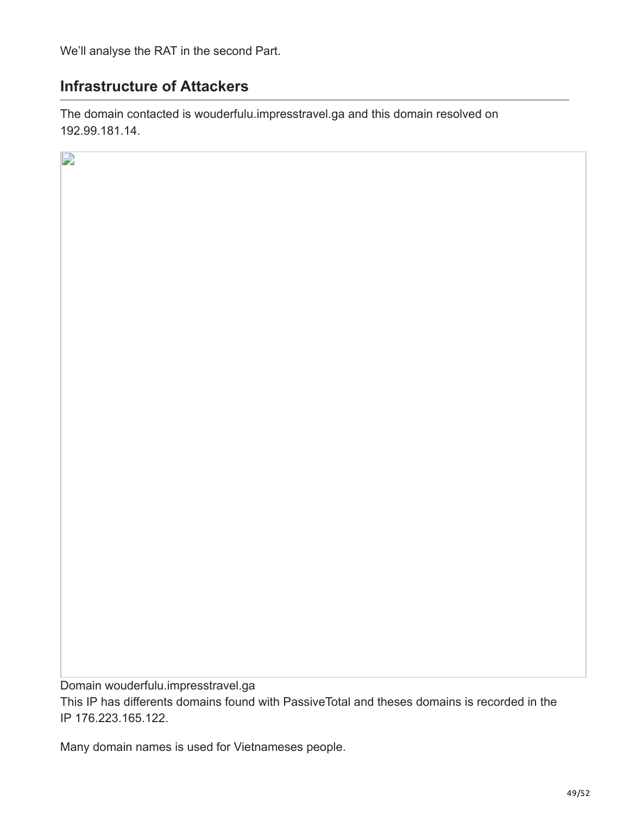We'll analyse the RAT in the second Part.

### **Infrastructure of Attackers**

The domain contacted is wouderfulu.impresstravel.ga and this domain resolved on 192.99.181.14.

| $\overline{\phantom{a}}$           |  |
|------------------------------------|--|
|                                    |  |
|                                    |  |
|                                    |  |
|                                    |  |
|                                    |  |
|                                    |  |
|                                    |  |
|                                    |  |
|                                    |  |
|                                    |  |
|                                    |  |
|                                    |  |
|                                    |  |
|                                    |  |
|                                    |  |
|                                    |  |
|                                    |  |
|                                    |  |
|                                    |  |
|                                    |  |
| Demoin wouderful uimprooptroval an |  |

Domain wouderfulu.impresstravel.ga

This IP has differents domains found with PassiveTotal and theses domains is recorded in the IP 176.223.165.122.

Many domain names is used for Vietnameses people.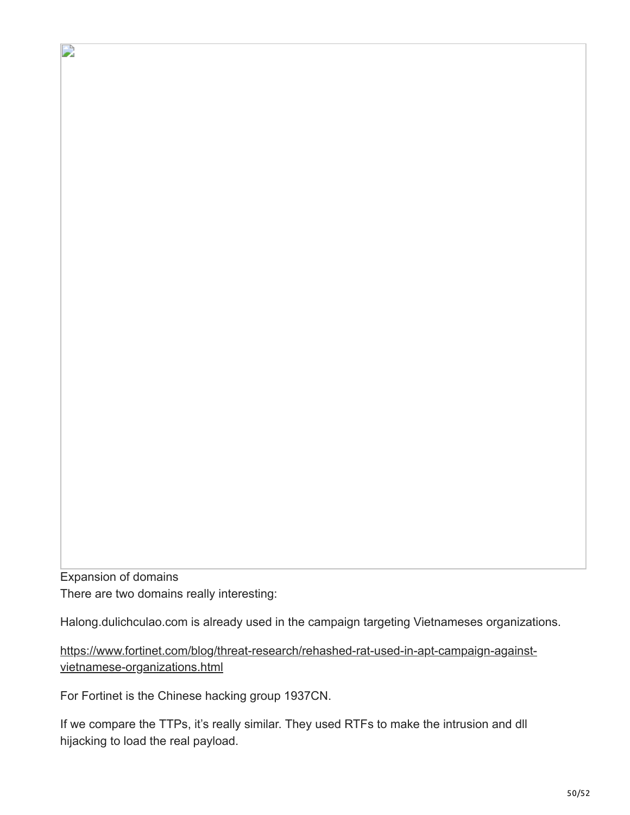Expansion of domains There are two domains really interesting:

D

Halong.dulichculao.com is already used in the campaign targeting Vietnameses organizations.

[https://www.fortinet.com/blog/threat-research/rehashed-rat-used-in-apt-campaign-against](https://www.fortinet.com/blog/threat-research/rehashed-rat-used-in-apt-campaign-against-vietnamese-organizations.html)vietnamese-organizations.html

For Fortinet is the Chinese hacking group 1937CN.

If we compare the TTPs, it's really similar. They used RTFs to make the intrusion and dll hijacking to load the real payload.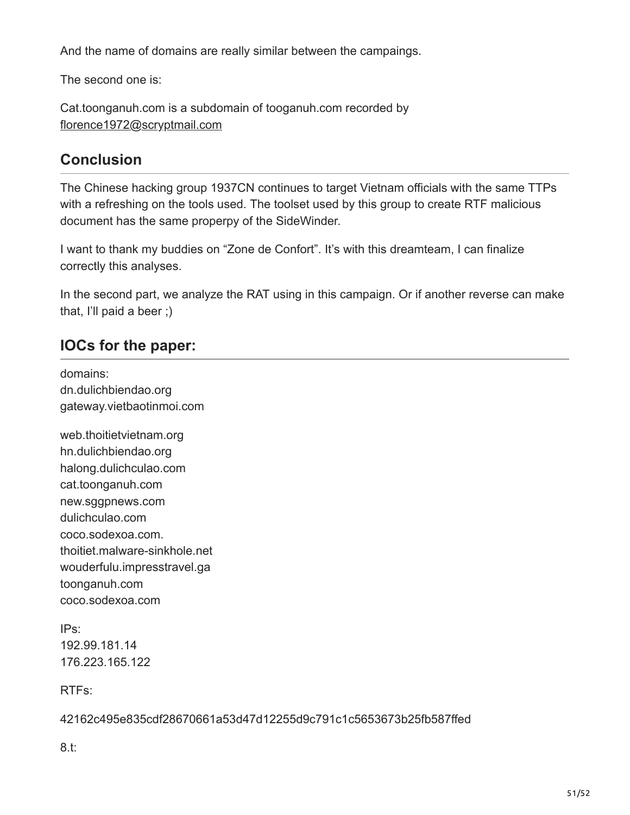And the name of domains are really similar between the campaings.

The second one is:

Cat.toonganuh.com is a subdomain of tooganuh.com recorded by [florence1972@scryptmail.com](http://10.10.0.46/mailto:florence1972@scryptmail.com)

#### **Conclusion**

The Chinese hacking group 1937CN continues to target Vietnam officials with the same TTPs with a refreshing on the tools used. The toolset used by this group to create RTF malicious document has the same properpy of the SideWinder.

I want to thank my buddies on "Zone de Confort". It's with this dreamteam, I can finalize correctly this analyses.

In the second part, we analyze the RAT using in this campaign. Or if another reverse can make that, I'll paid a beer ;)

### **IOCs for the paper:**

domains: dn.dulichbiendao.org gateway.vietbaotinmoi.com

web.thoitietvietnam.org hn.dulichbiendao.org halong.dulichculao.com cat.toonganuh.com new.sggpnews.com dulichculao.com coco.sodexoa.com. thoitiet.malware-sinkhole.net wouderfulu.impresstravel.ga toonganuh.com coco.sodexoa.com

IPs: 192.99.181.14 176.223.165.122

RTFs:

42162c495e835cdf28670661a53d47d12255d9c791c1c5653673b25fb587ffed